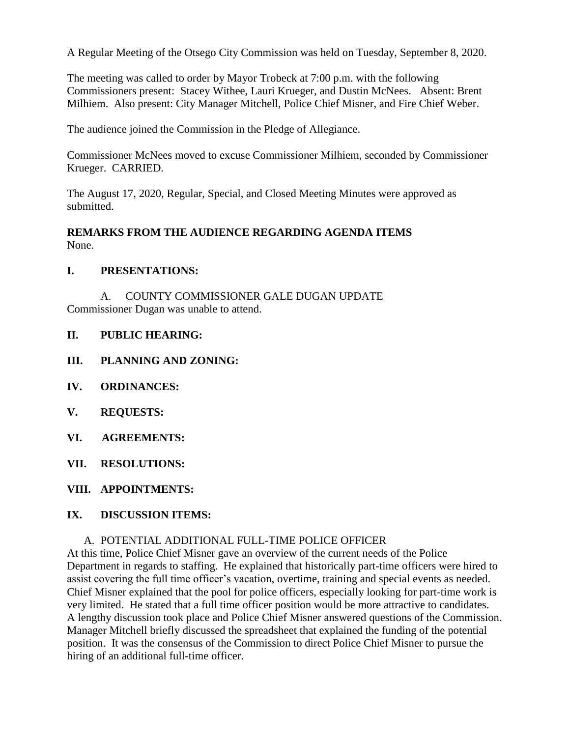A Regular Meeting of the Otsego City Commission was held on Tuesday, September 8, 2020.

The meeting was called to order by Mayor Trobeck at 7:00 p.m. with the following Commissioners present: Stacey Withee, Lauri Krueger, and Dustin McNees. Absent: Brent Milhiem. Also present: City Manager Mitchell, Police Chief Misner, and Fire Chief Weber.

The audience joined the Commission in the Pledge of Allegiance.

Commissioner McNees moved to excuse Commissioner Milhiem, seconded by Commissioner Krueger. CARRIED.

The August 17, 2020, Regular, Special, and Closed Meeting Minutes were approved as submitted.

#### **REMARKS FROM THE AUDIENCE REGARDING AGENDA ITEMS** None.

#### **I. PRESENTATIONS:**

A. COUNTY COMMISSIONER GALE DUGAN UPDATE Commissioner Dugan was unable to attend.

#### **II. PUBLIC HEARING:**

- **III. PLANNING AND ZONING:**
- **IV. ORDINANCES:**
- **V. REQUESTS:**
- **VI. AGREEMENTS:**
- **VII. RESOLUTIONS:**
- **VIII. APPOINTMENTS:**

# **IX. DISCUSSION ITEMS:**

#### A. POTENTIAL ADDITIONAL FULL-TIME POLICE OFFICER

At this time, Police Chief Misner gave an overview of the current needs of the Police Department in regards to staffing. He explained that historically part-time officers were hired to assist covering the full time officer's vacation, overtime, training and special events as needed. Chief Misner explained that the pool for police officers, especially looking for part-time work is very limited. He stated that a full time officer position would be more attractive to candidates. A lengthy discussion took place and Police Chief Misner answered questions of the Commission. Manager Mitchell briefly discussed the spreadsheet that explained the funding of the potential position. It was the consensus of the Commission to direct Police Chief Misner to pursue the hiring of an additional full-time officer.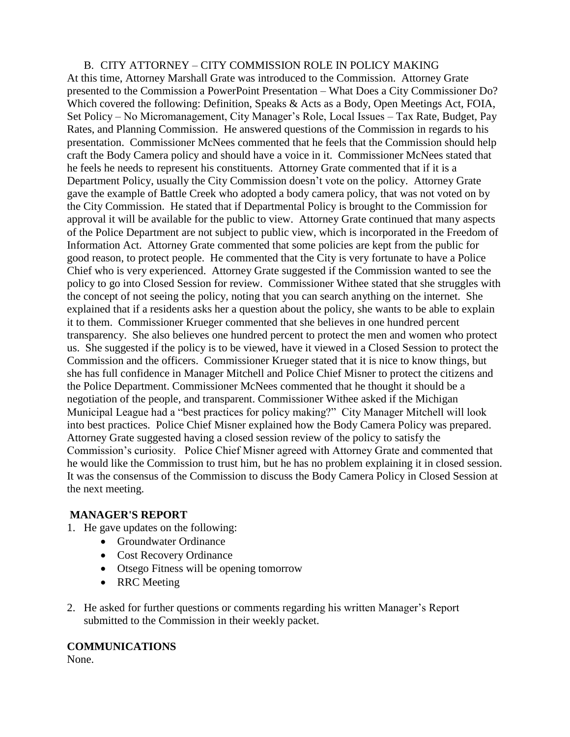# B. CITY ATTORNEY – CITY COMMISSION ROLE IN POLICY MAKING At this time, Attorney Marshall Grate was introduced to the Commission. Attorney Grate presented to the Commission a PowerPoint Presentation – What Does a City Commissioner Do? Which covered the following: Definition, Speaks & Acts as a Body, Open Meetings Act, FOIA, Set Policy – No Micromanagement, City Manager's Role, Local Issues – Tax Rate, Budget, Pay Rates, and Planning Commission. He answered questions of the Commission in regards to his presentation. Commissioner McNees commented that he feels that the Commission should help craft the Body Camera policy and should have a voice in it. Commissioner McNees stated that he feels he needs to represent his constituents. Attorney Grate commented that if it is a Department Policy, usually the City Commission doesn't vote on the policy. Attorney Grate gave the example of Battle Creek who adopted a body camera policy, that was not voted on by the City Commission. He stated that if Departmental Policy is brought to the Commission for approval it will be available for the public to view. Attorney Grate continued that many aspects of the Police Department are not subject to public view, which is incorporated in the Freedom of Information Act. Attorney Grate commented that some policies are kept from the public for good reason, to protect people. He commented that the City is very fortunate to have a Police Chief who is very experienced. Attorney Grate suggested if the Commission wanted to see the policy to go into Closed Session for review. Commissioner Withee stated that she struggles with the concept of not seeing the policy, noting that you can search anything on the internet. She explained that if a residents asks her a question about the policy, she wants to be able to explain it to them. Commissioner Krueger commented that she believes in one hundred percent transparency. She also believes one hundred percent to protect the men and women who protect us. She suggested if the policy is to be viewed, have it viewed in a Closed Session to protect the Commission and the officers. Commissioner Krueger stated that it is nice to know things, but she has full confidence in Manager Mitchell and Police Chief Misner to protect the citizens and the Police Department. Commissioner McNees commented that he thought it should be a negotiation of the people, and transparent. Commissioner Withee asked if the Michigan Municipal League had a "best practices for policy making?" City Manager Mitchell will look into best practices. Police Chief Misner explained how the Body Camera Policy was prepared. Attorney Grate suggested having a closed session review of the policy to satisfy the Commission's curiosity. Police Chief Misner agreed with Attorney Grate and commented that he would like the Commission to trust him, but he has no problem explaining it in closed session. It was the consensus of the Commission to discuss the Body Camera Policy in Closed Session at the next meeting.

# **MANAGER'S REPORT**

- 1. He gave updates on the following:
	- Groundwater Ordinance
	- Cost Recovery Ordinance
	- Otsego Fitness will be opening tomorrow
	- RRC Meeting
- 2. He asked for further questions or comments regarding his written Manager's Report submitted to the Commission in their weekly packet.

#### **COMMUNICATIONS**

None.